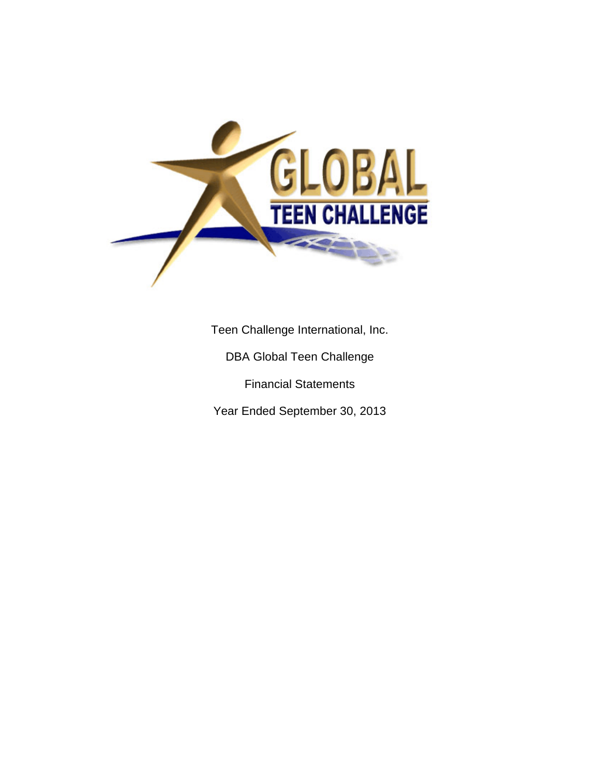

Teen Challenge International, Inc.

DBA Global Teen Challenge

Financial Statements

Year Ended September 30, 2013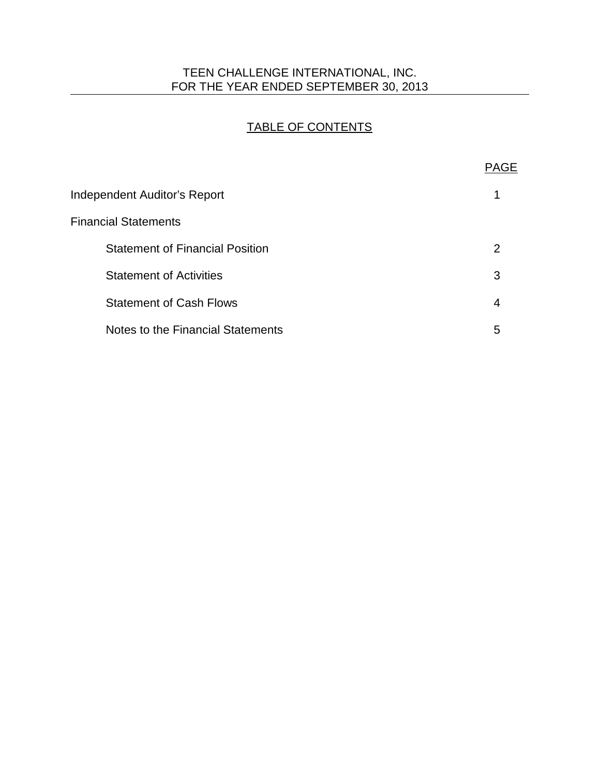## TEEN CHALLENGE INTERNATIONAL, INC. FOR THE YEAR ENDED SEPTEMBER 30, 2013

# TABLE OF CONTENTS

|                                        | <b>PAGE</b> |
|----------------------------------------|-------------|
| <b>Independent Auditor's Report</b>    |             |
| <b>Financial Statements</b>            |             |
| <b>Statement of Financial Position</b> | 2           |
| <b>Statement of Activities</b>         | 3           |
| <b>Statement of Cash Flows</b>         | 4           |
| Notes to the Financial Statements      | 5           |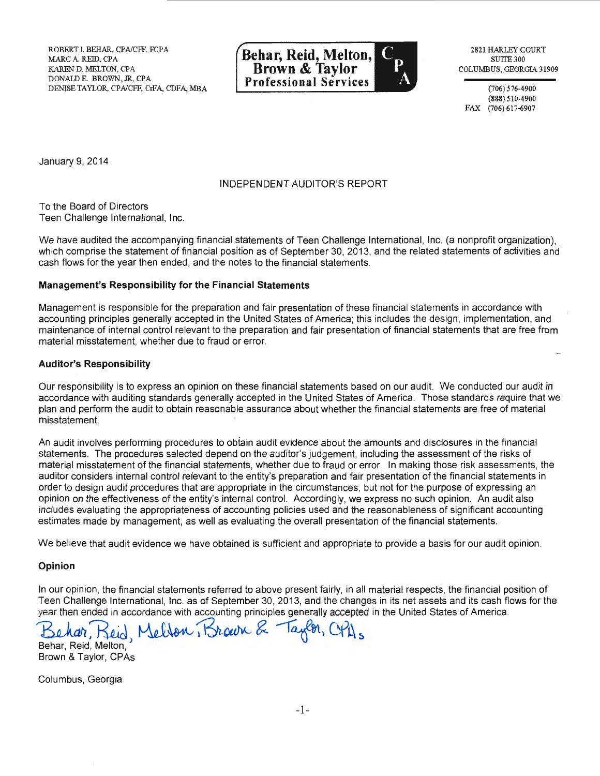ROBERT I. BEHAR, CPA/CFF, FCPA MARC A. REID, CPA KAREN D. MELTON, CPA DONALD E. BROWN, JR, CPA DENlSE TAYLOR, CPAICFF, CrFA, CDFA, MBA



2821 HARLEY COURT SUITE 300 COLUMBUS, GEORGIA 31909

(706) 576-4900 (888) 510-4900 FAX (706) 617-6907

January 9, 2014

#### INDEPENDENT AUDITOR'S REPORT

To the Board of Directors Teen Challenge International, Inc.

We have audited the accompanying financial statements of Teen Challenge International, Inc. (a nonprofit organization), which comprise the statement of financial position as of September 30, 2013, and the related statements of activities and cash flows for the year then ended, and the notes to the financial statements.

#### **Management's Responsibility for the Financial Statements**

Management is responsible for the preparation and fair presentation of these financial statements in accordance with accounting principles generally accepted in the United States of America; this includes the design, implementation, and maintenance of internal control relevant to the preparation and fair presentation of financial statements that are free from material misstatement, whether due to fraud or error.

#### **Auditor's Responsibility**

Our responsibility is to express an opinion on these financial statements based on our audit. We conducted our audit in accordance with auditing standards generally accepted in the United States of America. Those standards require that we plan and perform the audit to obtain reasonable assurance about whether the financial statements are free of material misstatement.

An audit involves performing procedures to obtain audit evidence about the amounts and disclosures in the financial statements. The procedures selected depend on the auditor's judgement, including the assessment of the risks of material misstatement of the financial statements, whether due to fraud or error. In making those risk assessments, the auditor considers internal control relevant to the entity's preparation and fair presentation of the financial statements in order to design audit procedures that are appropriate in the circumstances, but not for the purpose of expressing an opinion on the effectiveness of the entity's internal control. Accordingly, we express no such opinion. An audit also includes evaluating the appropriateness of accounting policies used and the reasonableness of significant accounting estimates made by management, as well as evaluating the overall presentation of the financial statements.

We believe that audit evidence we have obtained is sufficient and appropriate to provide a basis for our audit opinion.

#### **Opinion**

In our opinion, the financial statements referred to above present fairly, in all material respects, the financial position of Teen Challenge International, Inc. as of September 30, 2013, and the changes in its net assets and its cash flows for the year then ended in accordance with accounting principles generally accepted in the United States of America.

Behar, Reid, Melton, Brown & Taylor, CPA,

Brown & Taylor, CPAs

Columbus, Georgia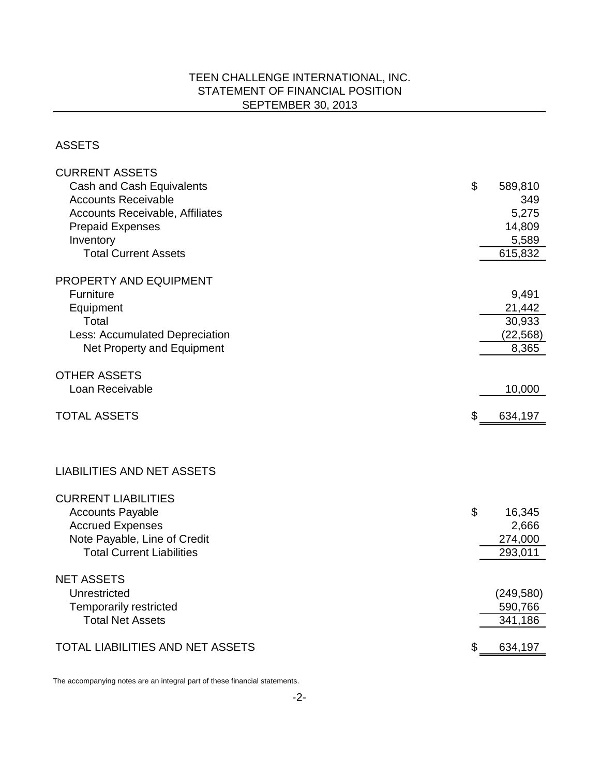## TEEN CHALLENGE INTERNATIONAL, INC. STATEMENT OF FINANCIAL POSITION SEPTEMBER 30, 2013

#### ASSETS

| <b>CURRENT ASSETS</b>             |               |
|-----------------------------------|---------------|
| Cash and Cash Equivalents         | \$<br>589,810 |
| <b>Accounts Receivable</b>        | 349           |
| Accounts Receivable, Affiliates   | 5,275         |
| <b>Prepaid Expenses</b>           | 14,809        |
| Inventory                         | 5,589         |
| <b>Total Current Assets</b>       | 615,832       |
| PROPERTY AND EQUIPMENT            |               |
| Furniture                         | 9,491         |
| Equipment                         | 21,442        |
| Total                             | 30,933        |
| Less: Accumulated Depreciation    | (22, 568)     |
| Net Property and Equipment        | 8,365         |
|                                   |               |
| <b>OTHER ASSETS</b>               |               |
| Loan Receivable                   | 10,000        |
| <b>TOTAL ASSETS</b>               | \$<br>634,197 |
|                                   |               |
|                                   |               |
| <b>LIABILITIES AND NET ASSETS</b> |               |
|                                   |               |
| <b>CURRENT LIABILITIES</b>        |               |
| <b>Accounts Payable</b>           | \$<br>16,345  |
| <b>Accrued Expenses</b>           | 2,666         |
| Note Payable, Line of Credit      | 274,000       |
| <b>Total Current Liabilities</b>  | 293,011       |
|                                   |               |
| <b>NET ASSETS</b>                 |               |
| Unrestricted                      | (249, 580)    |
| <b>Temporarily restricted</b>     | 590,766       |
| <b>Total Net Assets</b>           | 341,186       |
| TOTAL LIABILITIES AND NET ASSETS  | \$<br>634,197 |
|                                   |               |

The accompanying notes are an integral part of these financial statements.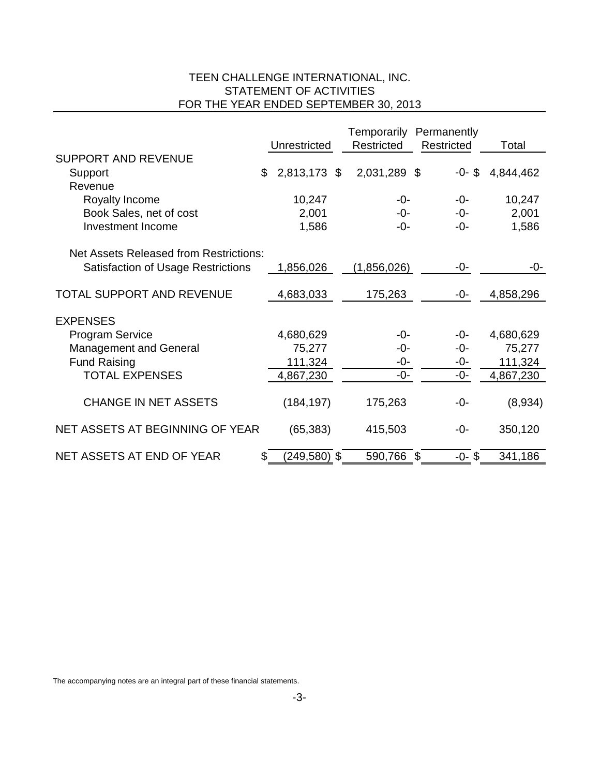## TEEN CHALLENGE INTERNATIONAL, INC. STATEMENT OF ACTIVITIES FOR THE YEAR ENDED SEPTEMBER 30, 2013

|                                               |                    | Temporarily  | Permanently |           |
|-----------------------------------------------|--------------------|--------------|-------------|-----------|
|                                               | Unrestricted       | Restricted   | Restricted  | Total     |
| <b>SUPPORT AND REVENUE</b>                    |                    |              |             |           |
| Support                                       | \$<br>2,813,173 \$ | 2,031,289 \$ | $-0 - $$    | 4,844,462 |
| Revenue                                       |                    |              |             |           |
| Royalty Income                                | 10,247             | -0-          | -0-         | 10,247    |
| Book Sales, net of cost                       | 2,001              | -0-          | -0-         | 2,001     |
| <b>Investment Income</b>                      | 1,586              | -0-          | -0-         | 1,586     |
| <b>Net Assets Released from Restrictions:</b> |                    |              |             |           |
| <b>Satisfaction of Usage Restrictions</b>     | 1,856,026          | (1,856,026)  | -0-         | -0-       |
|                                               |                    |              |             |           |
| <b>TOTAL SUPPORT AND REVENUE</b>              | 4,683,033          | 175,263      | -0-         | 4,858,296 |
| <b>EXPENSES</b>                               |                    |              |             |           |
|                                               |                    |              |             |           |
| <b>Program Service</b>                        | 4,680,629          | -0-<br>-0-   | -0-<br>-0-  | 4,680,629 |
| <b>Management and General</b>                 | 75,277             |              |             | 75,277    |
| <b>Fund Raising</b><br><b>TOTAL EXPENSES</b>  | 111,324            | -0-<br>$-0-$ | -0-<br>-0-  | 111,324   |
|                                               | 4,867,230          |              |             | 4,867,230 |
| <b>CHANGE IN NET ASSETS</b>                   | (184, 197)         | 175,263      | -0-         | (8,934)   |
| NET ASSETS AT BEGINNING OF YEAR               | (65, 383)          | 415,503      | -0-         | 350,120   |
|                                               |                    |              |             |           |
| NET ASSETS AT END OF YEAR                     | (249,580) \$       | 590,766 \$   | $-0 - $$    | 341,186   |

The accompanying notes are an integral part of these financial statements.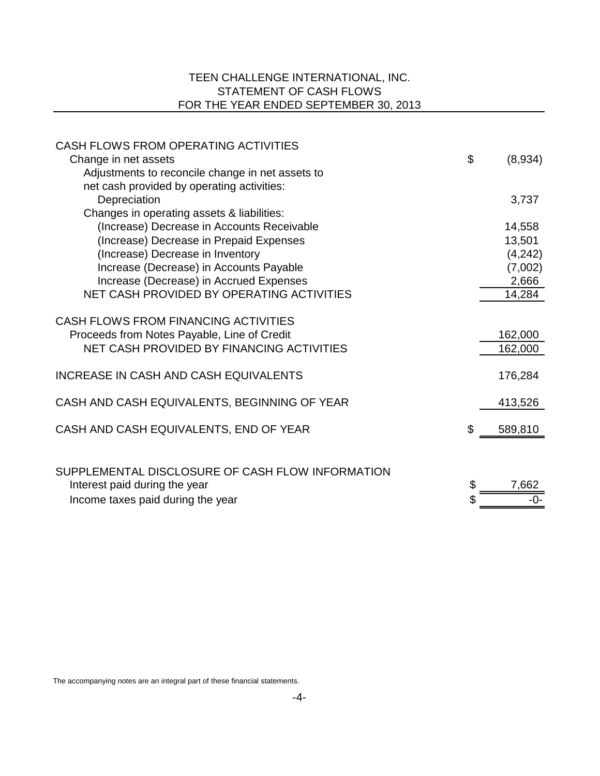## TEEN CHALLENGE INTERNATIONAL, INC. STATEMENT OF CASH FLOWS FOR THE YEAR ENDED SEPTEMBER 30, 2013

| CASH FLOWS FROM OPERATING ACTIVITIES             |               |
|--------------------------------------------------|---------------|
| Change in net assets                             | \$<br>(8,934) |
| Adjustments to reconcile change in net assets to |               |
| net cash provided by operating activities:       |               |
| Depreciation                                     | 3,737         |
| Changes in operating assets & liabilities:       |               |
| (Increase) Decrease in Accounts Receivable       | 14,558        |
| (Increase) Decrease in Prepaid Expenses          | 13,501        |
| (Increase) Decrease in Inventory                 | (4,242)       |
| Increase (Decrease) in Accounts Payable          | (7,002)       |
| Increase (Decrease) in Accrued Expenses          | 2,666         |
| NET CASH PROVIDED BY OPERATING ACTIVITIES        | 14,284        |
|                                                  |               |
| CASH FLOWS FROM FINANCING ACTIVITIES             |               |
| Proceeds from Notes Payable, Line of Credit      | 162,000       |
| NET CASH PROVIDED BY FINANCING ACTIVITIES        | 162,000       |
|                                                  |               |
| INCREASE IN CASH AND CASH EQUIVALENTS            | 176,284       |
| CASH AND CASH EQUIVALENTS, BEGINNING OF YEAR     | 413,526       |
|                                                  |               |
| CASH AND CASH EQUIVALENTS, END OF YEAR           | \$<br>589,810 |
|                                                  |               |
|                                                  |               |
| SUPPLEMENTAL DISCLOSURE OF CASH FLOW INFORMATION |               |
| Interest paid during the year                    | \$<br>7,662   |
| Income taxes paid during the year                | \$<br>$-0-$   |

The accompanying notes are an integral part of these financial statements.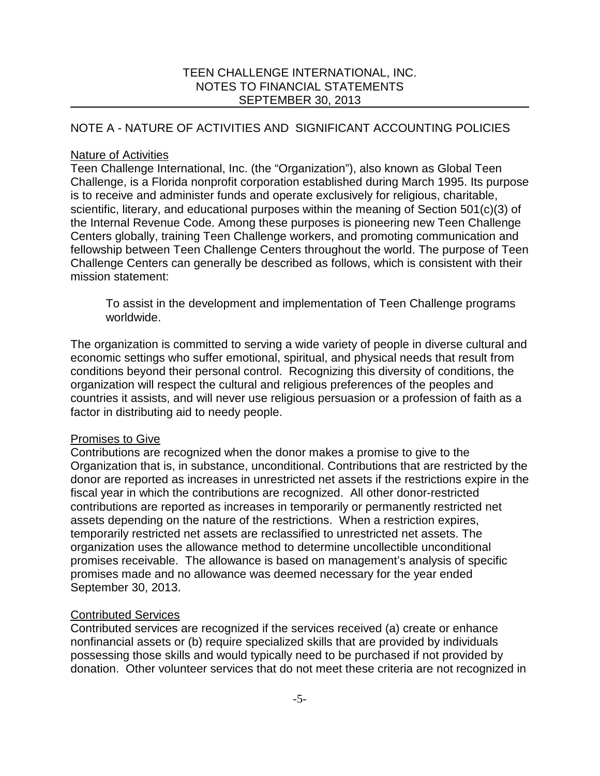## NOTE A - NATURE OF ACTIVITIES AND SIGNIFICANT ACCOUNTING POLICIES

### Nature of Activities

Teen Challenge International, Inc. (the "Organization"), also known as Global Teen Challenge, is a Florida nonprofit corporation established during March 1995. Its purpose is to receive and administer funds and operate exclusively for religious, charitable, scientific, literary, and educational purposes within the meaning of Section 501(c)(3) of the Internal Revenue Code. Among these purposes is pioneering new Teen Challenge Centers globally, training Teen Challenge workers, and promoting communication and fellowship between Teen Challenge Centers throughout the world. The purpose of Teen Challenge Centers can generally be described as follows, which is consistent with their mission statement:

To assist in the development and implementation of Teen Challenge programs worldwide.

The organization is committed to serving a wide variety of people in diverse cultural and economic settings who suffer emotional, spiritual, and physical needs that result from conditions beyond their personal control. Recognizing this diversity of conditions, the organization will respect the cultural and religious preferences of the peoples and countries it assists, and will never use religious persuasion or a profession of faith as a factor in distributing aid to needy people.

### Promises to Give

Contributions are recognized when the donor makes a promise to give to the Organization that is, in substance, unconditional. Contributions that are restricted by the donor are reported as increases in unrestricted net assets if the restrictions expire in the fiscal year in which the contributions are recognized. All other donor-restricted contributions are reported as increases in temporarily or permanently restricted net assets depending on the nature of the restrictions. When a restriction expires, temporarily restricted net assets are reclassified to unrestricted net assets. The organization uses the allowance method to determine uncollectible unconditional promises receivable. The allowance is based on management's analysis of specific promises made and no allowance was deemed necessary for the year ended September 30, 2013.

### Contributed Services

Contributed services are recognized if the services received (a) create or enhance nonfinancial assets or (b) require specialized skills that are provided by individuals possessing those skills and would typically need to be purchased if not provided by donation. Other volunteer services that do not meet these criteria are not recognized in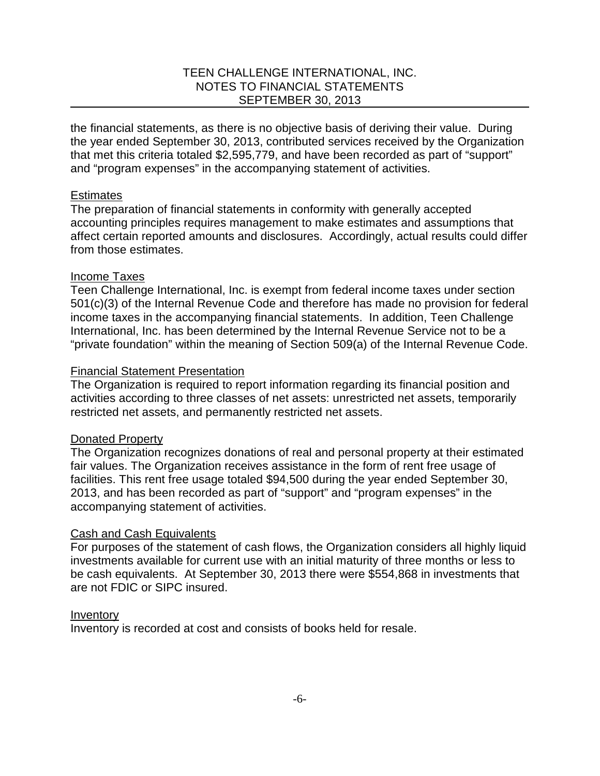the financial statements, as there is no objective basis of deriving their value. During the year ended September 30, 2013, contributed services received by the Organization that met this criteria totaled \$2,595,779, and have been recorded as part of "support" and "program expenses" in the accompanying statement of activities.

#### **Estimates**

The preparation of financial statements in conformity with generally accepted accounting principles requires management to make estimates and assumptions that affect certain reported amounts and disclosures. Accordingly, actual results could differ from those estimates.

#### Income Taxes

Teen Challenge International, Inc. is exempt from federal income taxes under section 501(c)(3) of the Internal Revenue Code and therefore has made no provision for federal income taxes in the accompanying financial statements. In addition, Teen Challenge International, Inc. has been determined by the Internal Revenue Service not to be a "private foundation" within the meaning of Section 509(a) of the Internal Revenue Code.

#### Financial Statement Presentation

The Organization is required to report information regarding its financial position and activities according to three classes of net assets: unrestricted net assets, temporarily restricted net assets, and permanently restricted net assets.

#### Donated Property

The Organization recognizes donations of real and personal property at their estimated fair values. The Organization receives assistance in the form of rent free usage of facilities. This rent free usage totaled \$94,500 during the year ended September 30, 2013, and has been recorded as part of "support" and "program expenses" in the accompanying statement of activities.

#### Cash and Cash Equivalents

For purposes of the statement of cash flows, the Organization considers all highly liquid investments available for current use with an initial maturity of three months or less to be cash equivalents. At September 30, 2013 there were \$554,868 in investments that are not FDIC or SIPC insured.

#### Inventory

Inventory is recorded at cost and consists of books held for resale.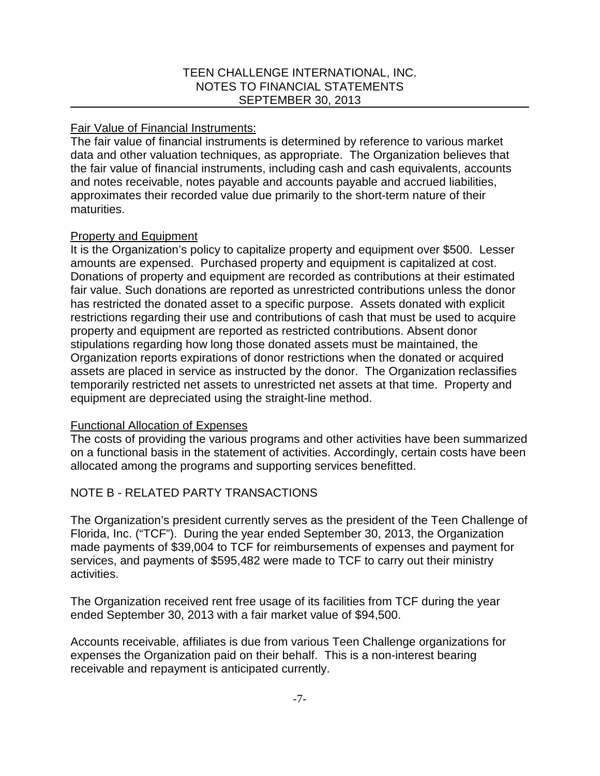### Fair Value of Financial Instruments:

The fair value of financial instruments is determined by reference to various market data and other valuation techniques, as appropriate. The Organization believes that the fair value of financial instruments, including cash and cash equivalents, accounts and notes receivable, notes payable and accounts payable and accrued liabilities, approximates their recorded value due primarily to the short-term nature of their maturities.

### Property and Equipment

It is the Organization's policy to capitalize property and equipment over \$500. Lesser amounts are expensed. Purchased property and equipment is capitalized at cost. Donations of property and equipment are recorded as contributions at their estimated fair value. Such donations are reported as unrestricted contributions unless the donor has restricted the donated asset to a specific purpose. Assets donated with explicit restrictions regarding their use and contributions of cash that must be used to acquire property and equipment are reported as restricted contributions. Absent donor stipulations regarding how long those donated assets must be maintained, the Organization reports expirations of donor restrictions when the donated or acquired assets are placed in service as instructed by the donor. The Organization reclassifies temporarily restricted net assets to unrestricted net assets at that time. Property and equipment are depreciated using the straight-line method.

### Functional Allocation of Expenses

The costs of providing the various programs and other activities have been summarized on a functional basis in the statement of activities. Accordingly, certain costs have been allocated among the programs and supporting services benefitted.

### NOTE B - RELATED PARTY TRANSACTIONS

The Organization's president currently serves as the president of the Teen Challenge of Florida, Inc. ("TCF"). During the year ended September 30, 2013, the Organization made payments of \$39,004 to TCF for reimbursements of expenses and payment for services, and payments of \$595,482 were made to TCF to carry out their ministry activities.

The Organization received rent free usage of its facilities from TCF during the year ended September 30, 2013 with a fair market value of \$94,500.

Accounts receivable, affiliates is due from various Teen Challenge organizations for expenses the Organization paid on their behalf. This is a non-interest bearing receivable and repayment is anticipated currently.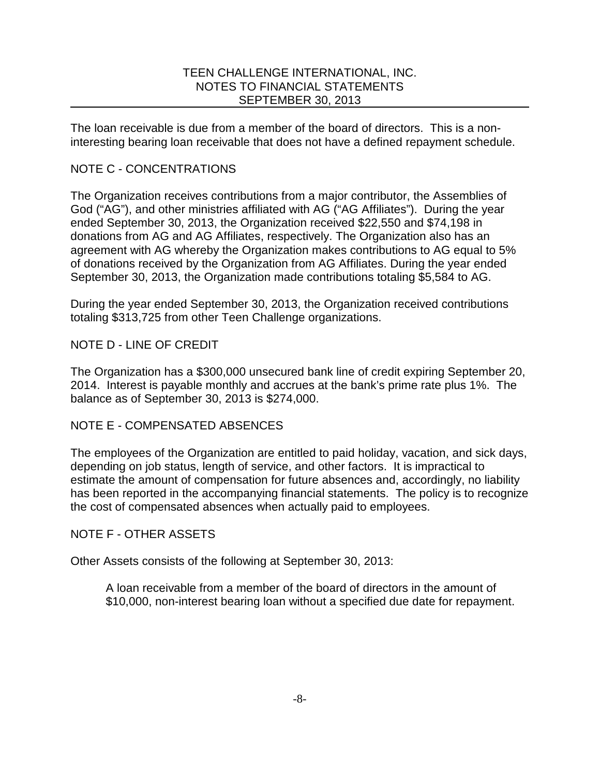The loan receivable is due from a member of the board of directors. This is a noninteresting bearing loan receivable that does not have a defined repayment schedule.

### NOTE C - CONCENTRATIONS

The Organization receives contributions from a major contributor, the Assemblies of God ("AG"), and other ministries affiliated with AG ("AG Affiliates"). During the year ended September 30, 2013, the Organization received \$22,550 and \$74,198 in donations from AG and AG Affiliates, respectively. The Organization also has an agreement with AG whereby the Organization makes contributions to AG equal to 5% of donations received by the Organization from AG Affiliates. During the year ended September 30, 2013, the Organization made contributions totaling \$5,584 to AG.

During the year ended September 30, 2013, the Organization received contributions totaling \$313,725 from other Teen Challenge organizations.

NOTE D - LINE OF CREDIT

The Organization has a \$300,000 unsecured bank line of credit expiring September 20, 2014. Interest is payable monthly and accrues at the bank's prime rate plus 1%. The balance as of September 30, 2013 is \$274,000.

### NOTE E - COMPENSATED ABSENCES

The employees of the Organization are entitled to paid holiday, vacation, and sick days, depending on job status, length of service, and other factors. It is impractical to estimate the amount of compensation for future absences and, accordingly, no liability has been reported in the accompanying financial statements. The policy is to recognize the cost of compensated absences when actually paid to employees.

NOTE F - OTHER ASSETS

Other Assets consists of the following at September 30, 2013:

A loan receivable from a member of the board of directors in the amount of \$10,000, non-interest bearing loan without a specified due date for repayment.